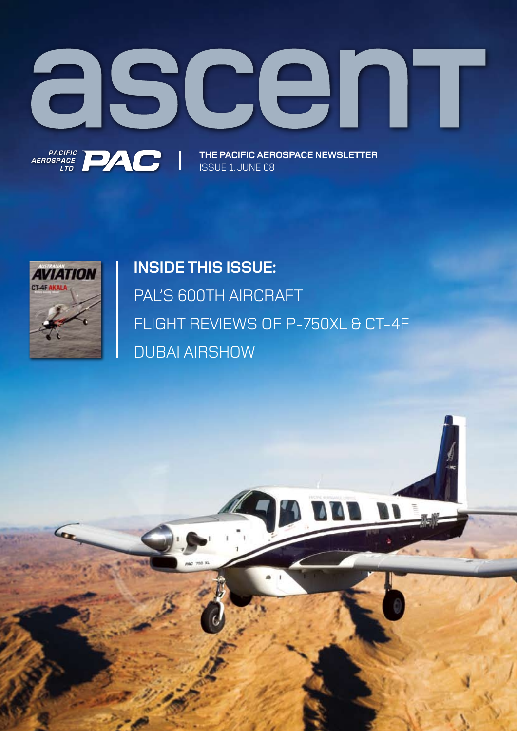

ISSUE 1. JUNE 08



# **INSIDE THIS ISSUE:**  PAL'S 600TH AIRCRAFT FLIGHT REVIEWS OF P-750XL & CT-4F DUBAI AIRSHOW

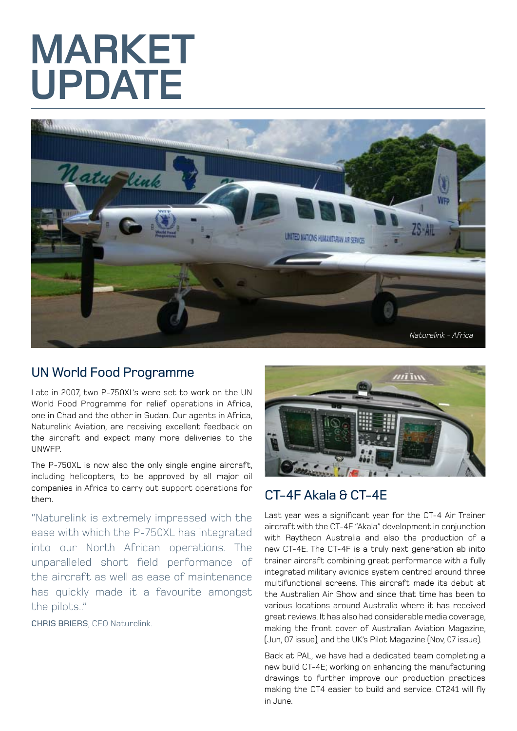# **MARKET UPDATE**



#### UN World Food Programme

Late in 2007, two P-750XL's were set to work on the UN World Food Programme for relief operations in Africa, one in Chad and the other in Sudan. Our agents in Africa, Naturelink Aviation, are receiving excellent feedback on the aircraft and expect many more deliveries to the UNWFP.

The P-750XL is now also the only single engine aircraft, including helicopters, to be approved by all major oil companies in Africa to carry out support operations for them.

"Naturelink is extremely impressed with the ease with which the P-750XL has integrated into our North African operations. The unparalleled short field performance of the aircraft as well as ease of maintenance has quickly made it a favourite amongst the pilots.."

CHRIS BRIERS, CEO Naturelink.



### CT-4F Akala & CT-4E

Last year was a significant year for the CT-4 Air Trainer aircraft with the CT-4F "Akala" development in conjunction with Raytheon Australia and also the production of a new CT-4E. The CT-4F is a truly next generation ab inito trainer aircraft combining great performance with a fully integrated military avionics system centred around three multifunctional screens. This aircraft made its debut at the Australian Air Show and since that time has been to various locations around Australia where it has received great reviews. It has also had considerable media coverage, making the front cover of Australian Aviation Magazine, (Jun, 07 issue), and the UK's Pilot Magazine (Nov, 07 issue).

Back at PAL, we have had a dedicated team completing a new build CT-4E; working on enhancing the manufacturing drawings to further improve our production practices making the CT4 easier to build and service. CT241 will fly in June.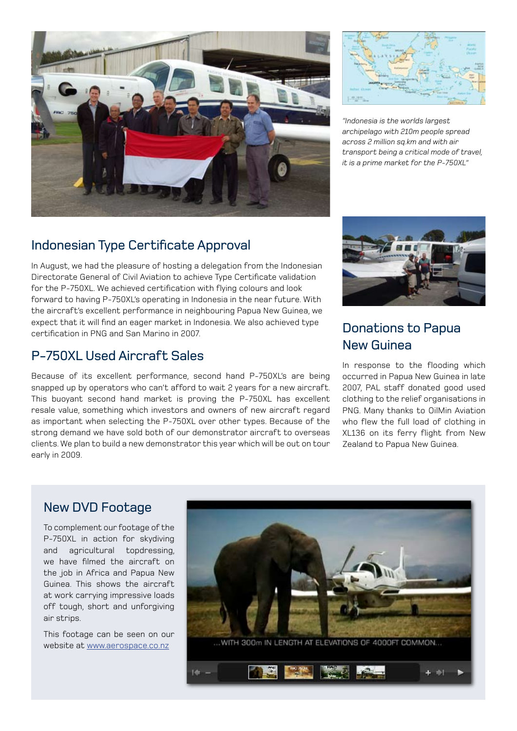



*"Indonesia is the worlds largest archipelago with 210m people spread across 2 million sq.km and with air transport being a critical mode of travel, it is a prime market for the P-750XL"*

#### Indonesian Type Certificate Approval

In August, we had the pleasure of hosting a delegation from the Indonesian Directorate General of Civil Aviation to achieve Type Certificate validation for the P-750XL. We achieved certification with flying colours and look forward to having P-750XL's operating in Indonesia in the near future. With the aircraft's excellent performance in neighbouring Papua New Guinea, we expect that it will find an eager market in Indonesia. We also achieved type certification in PNG and San Marino in 2007.

#### P-750XL Used Aircraft Sales

Because of its excellent performance, second hand P-750XL's are being snapped up by operators who can't afford to wait 2 years for a new aircraft. This buoyant second hand market is proving the P-750XL has excellent resale value, something which investors and owners of new aircraft regard as important when selecting the P-750XL over other types. Because of the strong demand we have sold both of our demonstrator aircraft to overseas clients. We plan to build a new demonstrator this year which will be out on tour early in 2009.



#### Donations to Papua New Guinea

In response to the flooding which occurred in Papua New Guinea in late 2007, PAL staff donated good used clothing to the relief organisations in PNG. Many thanks to OilMin Aviation who flew the full load of clothing in XL136 on its ferry flight from New Zealand to Papua New Guinea.

#### New DVD Footage

To complement our footage of the P-750XL in action for skydiving and agricultural topdressing, we have filmed the aircraft on the job in Africa and Papua New Guinea. This shows the aircraft at work carrying impressive loads off tough, short and unforgiving air strips.

This footage can be seen on our website at www.aerospace.co.nz

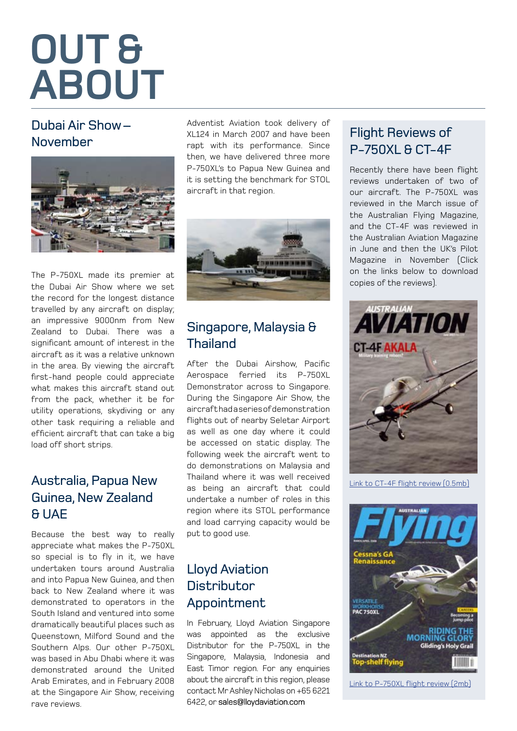# **OUT & ABOUT**

#### Dubai Air Show – November



The P-750XL made its premier at the Dubai Air Show where we set the record for the longest distance travelled by any aircraft on display; an impressive 9000nm from New Zealand to Dubai. There was a significant amount of interest in the aircraft as it was a relative unknown in the area. By viewing the aircraft first-hand people could appreciate what makes this aircraft stand out from the pack, whether it be for utility operations, skydiving or any other task requiring a reliable and efficient aircraft that can take a big load off short strips.

### Australia, Papua New Guinea, New Zealand & UAE

Because the best way to really appreciate what makes the P-750XL so special is to fly in it, we have undertaken tours around Australia and into Papua New Guinea, and then back to New Zealand where it was demonstrated to operators in the South Island and ventured into some dramatically beautiful places such as Queenstown, Milford Sound and the Southern Alps. Our other P-750XL was based in Abu Dhabi where it was demonstrated around the United Arab Emirates, and in February 2008 at the Singapore Air Show, receiving rave reviews.

Adventist Aviation took delivery of XL124 in March 2007 and have been rapt with its performance. Since then, we have delivered three more P-750XL's to Papua New Guinea and it is setting the benchmark for STOL aircraft in that region.



### Singapore, Malaysia & **Thailand**

After the Dubai Airshow, Pacific Aerospace ferried its P-750XL Demonstrator across to Singapore. During the Singapore Air Show, the aircraft had a series of demonstration flights out of nearby Seletar Airport as well as one day where it could be accessed on static display. The following week the aircraft went to do demonstrations on Malaysia and Thailand where it was well received as being an aircraft that could undertake a number of roles in this region where its STOL performance and load carrying capacity would be put to good use.

#### Lloyd Aviation **Distributor** Appointment

In February, Lloyd Aviation Singapore was appointed as the exclusive Distributor for the P-750XL in the Singapore, Malaysia, Indonesia and East Timor region. For any enquiries about the aircraft in this region, please contact Mr Ashley Nicholas on +65 6221 6422, or sales@lloydaviation.com

### Flight Reviews of P-750XL & CT-4F

Recently there have been flight reviews undertaken of two of our aircraft. The P-750XL was reviewed in the March issue of the Australian Flying Magazine, and the CT-4F was reviewed in the Australian Aviation Magazine in June and then the UK's Pilot Magazine in November (Click on the links below to download copies of the reviews).



[Link to CT-4F flight review \(0.5mb\)](http://www.aerospace.co.nz/news.html?id=3475&src=Australian%20Aviation%20CT-4F.pdf&location=cms_resources&mode=showresource)



[Link to P-750XL flight review \(2mb\)](www.aerospace.co.nz/news.html?id=3476&src=P-750XL%20Aust%20Flying%20Mar%2008.pdf&location=cms_resources&mode=showresource)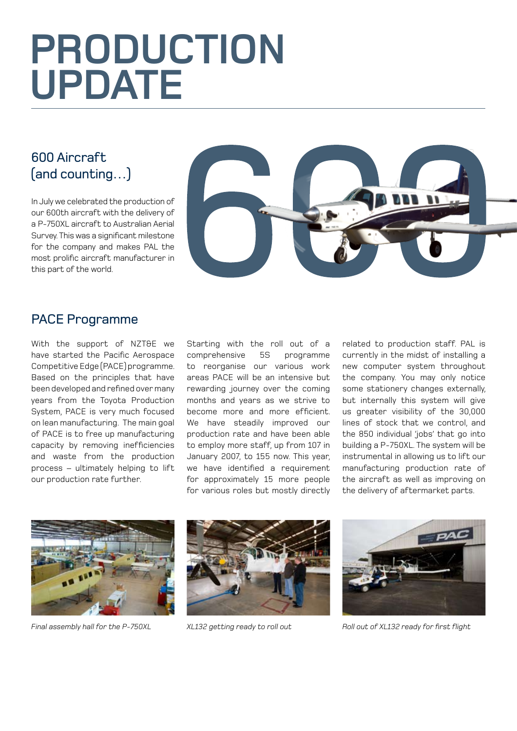# **PRODUCTION UPDATE**

## 600 Aircraft (and counting…)

In July we celebrated the production of our 600th aircraft with the delivery of a P-750XL aircraft to Australian Aerial Survey. This was a significant milestone for the company and makes PAL the most prolific aircraft manufacturer in this part of the world.



#### PACE Programme

With the support of NZT&E we have started the Pacific Aerospace Competitive Edge (PACE) programme. Based on the principles that have been developed and refined over many years from the Toyota Production System, PACE is very much focused on lean manufacturing. The main goal of PACE is to free up manufacturing capacity by removing inefficiencies and waste from the production process – ultimately helping to lift our production rate further.

Starting with the roll out of a comprehensive 5S programme to reorganise our various work areas PACE will be an intensive but rewarding journey over the coming months and years as we strive to become more and more efficient. We have steadily improved our production rate and have been able to employ more staff, up from 107 in January 2007, to 155 now. This year, we have identified a requirement for approximately 15 more people for various roles but mostly directly related to production staff. PAL is currently in the midst of installing a new computer system throughout the company. You may only notice some stationery changes externally, but internally this system will give us greater visibility of the 30,000 lines of stock that we control, and the 850 individual 'jobs' that go into building a P-750XL. The system will be instrumental in allowing us to lift our manufacturing production rate of the aircraft as well as improving on the delivery of aftermarket parts.







*Final assembly hall for the P-750XL XL132 getting ready to roll out Roll out of XL132 ready for first flight*